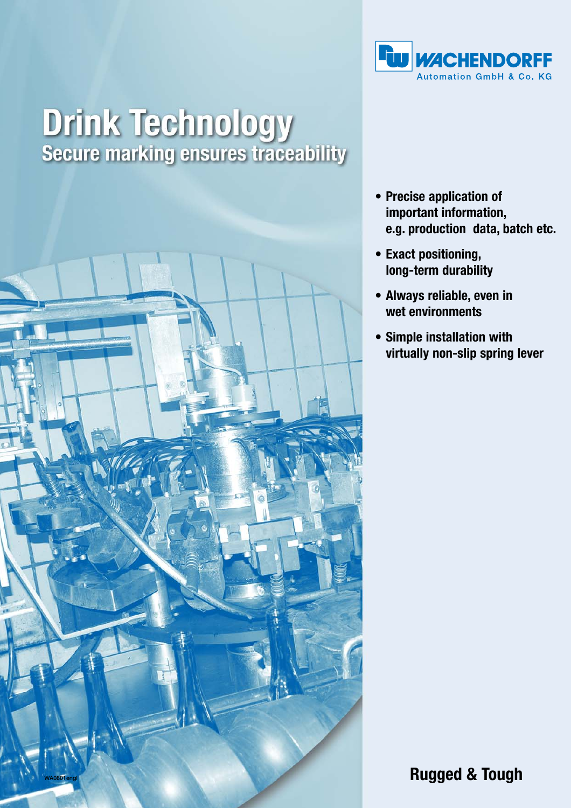

## **Drink Technology<br>Secure marking ensures traceability**



- **Precise application of important information, e.g. production data, batch etc.**
- **Exact positioning, long-term durability**
- **Always reliable, even in wet environments**
- **Simple installation with virtually non-slip spring lever**

**Rugged & Tough**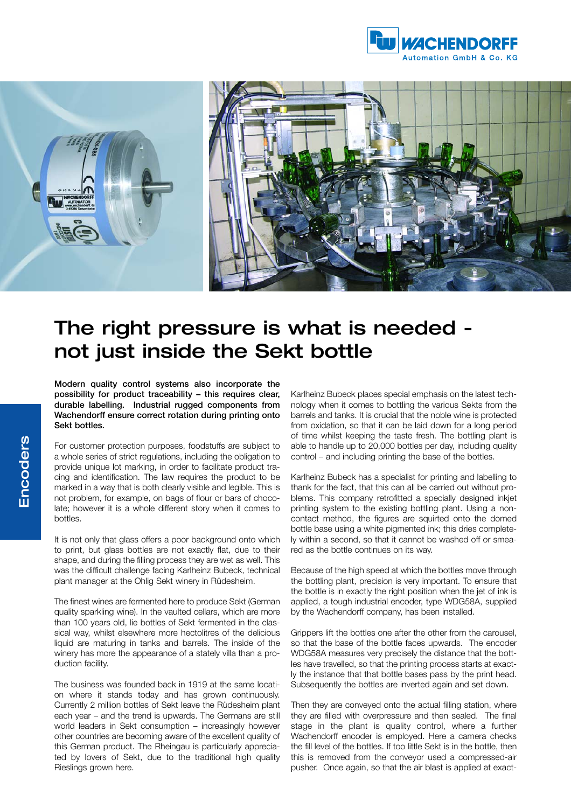



## The right pressure is what is needed not just inside the Sekt bottle

Modern quality control systems also incorporate the possibility for product traceability – this requires clear, durable labelling. Industrial rugged components from Wachendorff ensure correct rotation during printing onto Sekt bottles.

For customer protection purposes, foodstuffs are subject to a whole series of strict regulations, including the obligation to provide unique lot marking, in order to facilitate product tracing and identification. The law requires the product to be marked in a way that is both clearly visible and legible. This is not problem, for example, on bags of flour or bars of chocolate; however it is a whole different story when it comes to bottles.

It is not only that glass offers a poor background onto which to print, but glass bottles are not exactly flat, due to their shape, and during the filling process they are wet as well. This was the difficult challenge facing Karlheinz Bubeck, technical plant manager at the Ohlig Sekt winery in Rüdesheim.

The finest wines are fermented here to produce Sekt (German quality sparkling wine). In the vaulted cellars, which are more than 100 years old, lie bottles of Sekt fermented in the classical way, whilst elsewhere more hectolitres of the delicious liquid are maturing in tanks and barrels. The inside of the winery has more the appearance of a stately villa than a production facility.

The business was founded back in 1919 at the same location where it stands today and has grown continuously. Currently 2 million bottles of Sekt leave the Rüdesheim plant each year – and the trend is upwards. The Germans are still world leaders in Sekt consumption – increasingly however other countries are becoming aware of the excellent quality of this German product. The Rheingau is particularly appreciated by lovers of Sekt, due to the traditional high quality Rieslings grown here.

Karlheinz Bubeck places special emphasis on the latest technology when it comes to bottling the various Sekts from the barrels and tanks. It is crucial that the noble wine is protected from oxidation, so that it can be laid down for a long period of time whilst keeping the taste fresh. The bottling plant is able to handle up to 20,000 bottles per day, including quality control – and including printing the base of the bottles.

Karlheinz Bubeck has a specialist for printing and labelling to thank for the fact, that this can all be carried out without problems. This company retrofitted a specially designed inkjet printing system to the existing bottling plant. Using a noncontact method, the figures are squirted onto the domed bottle base using a white pigmented ink; this dries completely within a second, so that it cannot be washed off or smeared as the bottle continues on its way.

Because of the high speed at which the bottles move through the bottling plant, precision is very important. To ensure that the bottle is in exactly the right position when the jet of ink is applied, a tough industrial encoder, type WDG58A, supplied by the Wachendorff company, has been installed.

Grippers lift the bottles one after the other from the carousel, so that the base of the bottle faces upwards. The encoder WDG58A measures very precisely the distance that the bottles have travelled, so that the printing process starts at exactly the instance that that bottle bases pass by the print head. Subsequently the bottles are inverted again and set down.

Then they are conveyed onto the actual filling station, where they are filled with overpressure and then sealed. The final stage in the plant is quality control, where a further Wachendorff encoder is employed. Here a camera checks the fill level of the bottles. If too little Sekt is in the bottle, then this is removed from the conveyor used a compressed-air pusher. Once again, so that the air blast is applied at exact-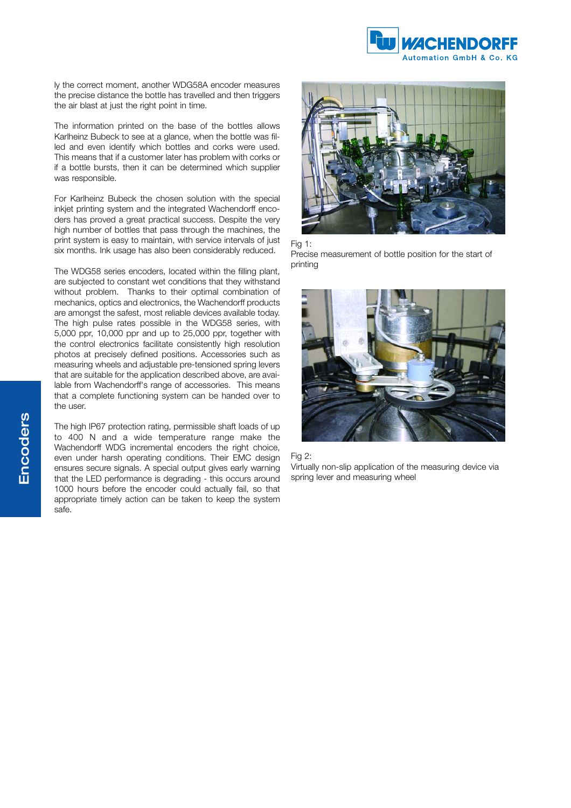

ly the correct moment, another WDG58A encoder measures the precise distance the bottle has travelled and then triggers the air blast at just the right point in time.

The information printed on the base of the bottles allows Karlheinz Bubeck to see at a glance, when the bottle was filled and even identify which bottles and corks were used. This means that if a customer later has problem with corks or if a bottle bursts, then it can be determined which supplier was responsible.

For Karlheinz Bubeck the chosen solution with the special inkjet printing system and the integrated Wachendorff encoders has proved a great practical success. Despite the very high number of bottles that pass through the machines, the print system is easy to maintain, with service intervals of just six months. Ink usage has also been considerably reduced.

The WDG58 series encoders, located within the filling plant, are subjected to constant wet conditions that they withstand without problem. Thanks to their optimal combination of mechanics, optics and electronics, the Wachendorff products are amongst the safest, most reliable devices available today. The high pulse rates possible in the WDG58 series, with 5,000 ppr, 10,000 ppr and up to 25,000 ppr, together with the control electronics facilitate consistently high resolution photos at precisely defined positions. Accessories such as measuring wheels and adjustable pre-tensioned spring levers that are suitable for the application described above, are available from Wachendorff's range of accessories. This means that a complete functioning system can be handed over to the user.

The high IP67 protection rating, permissible shaft loads of up to 400 N and a wide temperature range make the Wachendorff WDG incremental encoders the right choice, even under harsh operating conditions. Their EMC design ensures secure signals. A special output gives early warning that the LED performance is degrading - this occurs around 1000 hours before the encoder could actually fail, so that appropriate timely action can be taken to keep the system safe.



Fig 1:

Precise measurement of bottle position for the start of printing



## Fig 2:

Virtually non-slip application of the measuring device via spring lever and measuring wheel